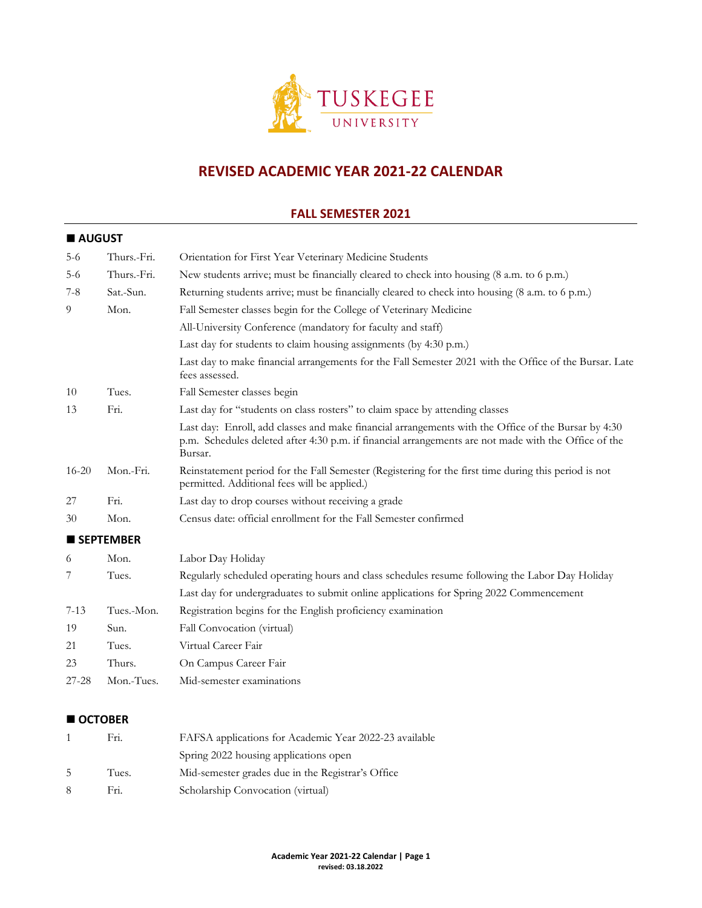

# **REVISED ACADEMIC YEAR 2021-22 CALENDAR**

# **FALL SEMESTER 2021**

## **AUGUST**

| $5 - 6$   | Thurs.-Fri.      | Orientation for First Year Veterinary Medicine Students                                                                                                                                                                |
|-----------|------------------|------------------------------------------------------------------------------------------------------------------------------------------------------------------------------------------------------------------------|
| $5-6$     | Thurs.-Fri.      | New students arrive; must be financially cleared to check into housing $(8 \text{ a.m. to } 6 \text{ p.m.})$                                                                                                           |
| $7 - 8$   | Sat.-Sun.        | Returning students arrive; must be financially cleared to check into housing (8 a.m. to 6 p.m.)                                                                                                                        |
| 9         | Mon.             | Fall Semester classes begin for the College of Veterinary Medicine                                                                                                                                                     |
|           |                  | All-University Conference (mandatory for faculty and staff)                                                                                                                                                            |
|           |                  | Last day for students to claim housing assignments (by 4:30 p.m.)                                                                                                                                                      |
|           |                  | Last day to make financial arrangements for the Fall Semester 2021 with the Office of the Bursar. Late<br>fees assessed.                                                                                               |
| 10        | Tues.            | Fall Semester classes begin                                                                                                                                                                                            |
| 13        | Fri.             | Last day for "students on class rosters" to claim space by attending classes                                                                                                                                           |
|           |                  | Last day: Enroll, add classes and make financial arrangements with the Office of the Bursar by 4:30<br>p.m. Schedules deleted after 4:30 p.m. if financial arrangements are not made with the Office of the<br>Bursar. |
| $16 - 20$ | Mon.-Fri.        | Reinstatement period for the Fall Semester (Registering for the first time during this period is not<br>permitted. Additional fees will be applied.)                                                                   |
| 27        | Fri.             | Last day to drop courses without receiving a grade                                                                                                                                                                     |
| 30        | Mon.             | Census date: official enrollment for the Fall Semester confirmed                                                                                                                                                       |
|           | <b>SEPTEMBER</b> |                                                                                                                                                                                                                        |
| 6         | Mon.             | Labor Day Holiday                                                                                                                                                                                                      |
| 7         | Tues.            | Regularly scheduled operating hours and class schedules resume following the Labor Day Holiday                                                                                                                         |
|           |                  | Last day for undergraduates to submit online applications for Spring 2022 Commencement                                                                                                                                 |
| $7 - 13$  | Tues.-Mon.       | Registration begins for the English proficiency examination                                                                                                                                                            |
| 19        | Sun.             | Fall Convocation (virtual)                                                                                                                                                                                             |
| 21        | Tues.            | Virtual Career Fair                                                                                                                                                                                                    |
| 23        | Thurs.           | On Campus Career Fair                                                                                                                                                                                                  |
| 27-28     | Mon.-Tues.       | Mid-semester examinations                                                                                                                                                                                              |
|           |                  |                                                                                                                                                                                                                        |

# ■ OCTOBER

|    | Fri.  | FAFSA applications for Academic Year 2022-23 available |
|----|-------|--------------------------------------------------------|
|    |       | Spring 2022 housing applications open                  |
| .5 | Tues. | Mid-semester grades due in the Registrar's Office      |
| -8 | Fri.  | Scholarship Convocation (virtual)                      |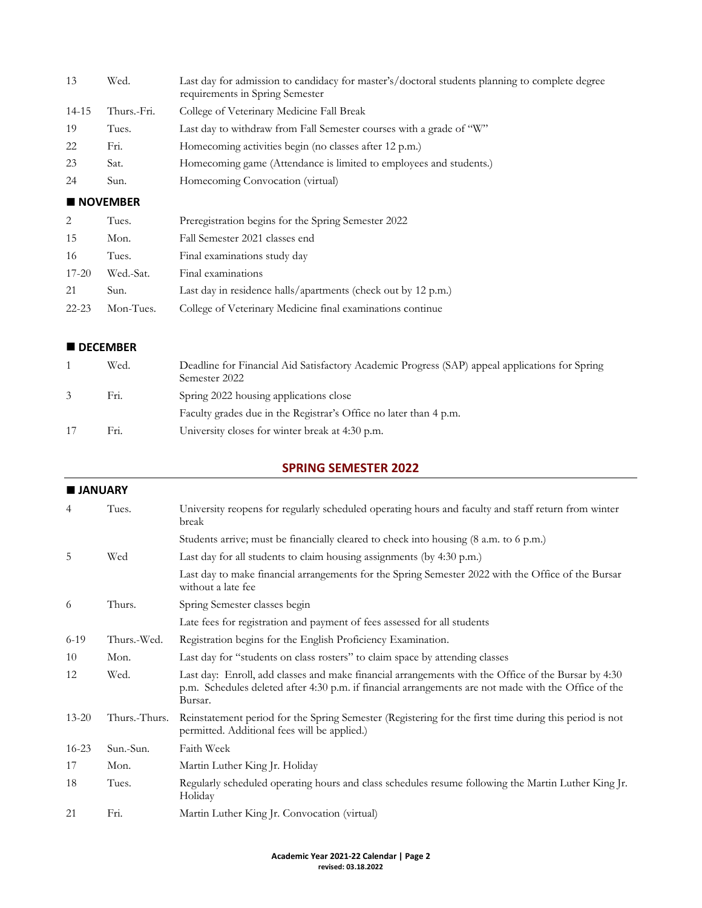| 13    | Wed.        | Last day for admission to candidacy for master's/doctoral students planning to complete degree<br>requirements in Spring Semester |
|-------|-------------|-----------------------------------------------------------------------------------------------------------------------------------|
| 14-15 | Thurs.-Fri. | College of Veterinary Medicine Fall Break                                                                                         |
| 19    | Tues.       | Last day to withdraw from Fall Semester courses with a grade of "W"                                                               |
| 22    | Fri.        | Homecoming activities begin (no classes after 12 p.m.)                                                                            |
| 23    | Sat.        | Homecoming game (Attendance is limited to employees and students.)                                                                |
| 24    | Sun.        | Homecoming Convocation (virtual)                                                                                                  |

#### ■ **NOVEMBER**

| $\mathcal{L}$ | Tues.     | Preregistration begins for the Spring Semester 2022           |
|---------------|-----------|---------------------------------------------------------------|
| -15           | Mon.      | Fall Semester 2021 classes end                                |
| -16           | Tues.     | Final examinations study day                                  |
| $17 - 20$     | Wed.-Sat. | Final examinations                                            |
| 21            | Sun.      | Last day in residence halls/apartments (check out by 12 p.m.) |
| $22 - 23$     | Mon-Tues. | College of Veterinary Medicine final examinations continue    |

#### **DECEMBER**

|    | Wed. | Deadline for Financial Aid Satisfactory Academic Progress (SAP) appeal applications for Spring<br>Semester 2022 |
|----|------|-----------------------------------------------------------------------------------------------------------------|
| 3  | Fri. | Spring 2022 housing applications close                                                                          |
|    |      | Faculty grades due in the Registrar's Office no later than 4 p.m.                                               |
| 17 | Fri. | University closes for winter break at 4:30 p.m.                                                                 |

# **SPRING SEMESTER 2022**

|           | <b>JANUARY</b> |                                                                                                                                                                                                                        |  |
|-----------|----------------|------------------------------------------------------------------------------------------------------------------------------------------------------------------------------------------------------------------------|--|
| 4         | Tues.          | University reopens for regularly scheduled operating hours and faculty and staff return from winter<br>break                                                                                                           |  |
|           |                | Students arrive; must be financially cleared to check into housing (8 a.m. to 6 p.m.)                                                                                                                                  |  |
| 5         | Wed            | Last day for all students to claim housing assignments (by 4:30 p.m.)                                                                                                                                                  |  |
|           |                | Last day to make financial arrangements for the Spring Semester 2022 with the Office of the Bursar<br>without a late fee                                                                                               |  |
| -6        | Thurs.         | Spring Semester classes begin                                                                                                                                                                                          |  |
|           |                | Late fees for registration and payment of fees assessed for all students                                                                                                                                               |  |
| $6-19$    | Thurs.-Wed.    | Registration begins for the English Proficiency Examination.                                                                                                                                                           |  |
| 10        | Mon.           | Last day for "students on class rosters" to claim space by attending classes                                                                                                                                           |  |
| 12        | Wed.           | Last day: Enroll, add classes and make financial arrangements with the Office of the Bursar by 4:30<br>p.m. Schedules deleted after 4:30 p.m. if financial arrangements are not made with the Office of the<br>Bursar. |  |
| $13 - 20$ | Thurs.-Thurs.  | Reinstatement period for the Spring Semester (Registering for the first time during this period is not<br>permitted. Additional fees will be applied.)                                                                 |  |
| $16 - 23$ | Sun.-Sun.      | Faith Week                                                                                                                                                                                                             |  |
| 17        | Mon.           | Martin Luther King Jr. Holiday                                                                                                                                                                                         |  |
| 18        | Tues.          | Regularly scheduled operating hours and class schedules resume following the Martin Luther King Jr.<br>Holiday                                                                                                         |  |
| 21        | Fri.           | Martin Luther King Jr. Convocation (virtual)                                                                                                                                                                           |  |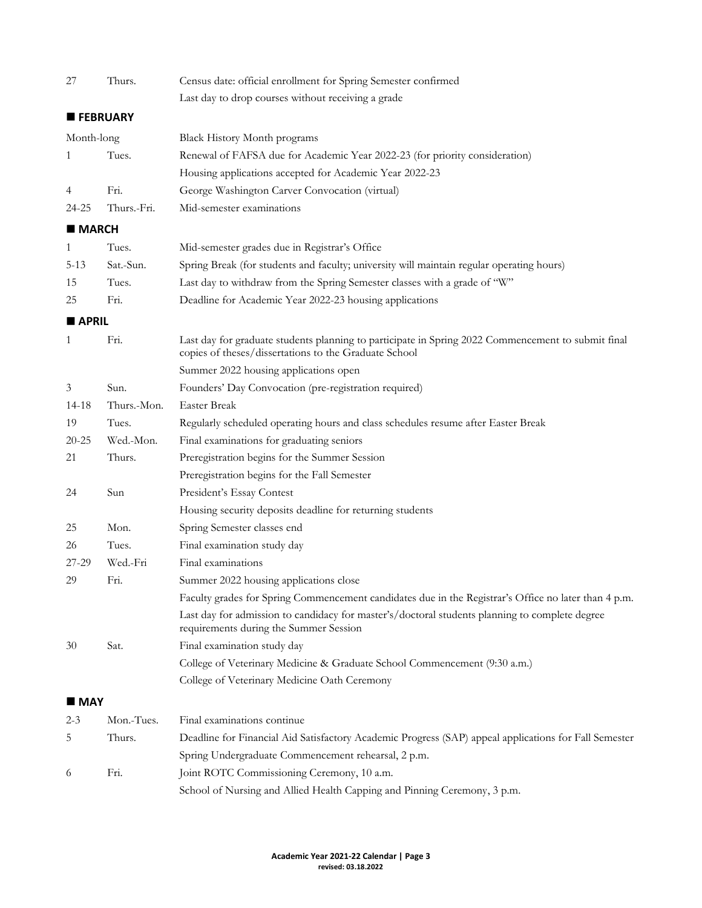| 27             | Thurs.          | Census date: official enrollment for Spring Semester confirmed                                                                                              |
|----------------|-----------------|-------------------------------------------------------------------------------------------------------------------------------------------------------------|
|                |                 | Last day to drop courses without receiving a grade                                                                                                          |
|                | <b>FEBRUARY</b> |                                                                                                                                                             |
| Month-long     |                 | Black History Month programs                                                                                                                                |
| 1              | Tues.           | Renewal of FAFSA due for Academic Year 2022-23 (for priority consideration)                                                                                 |
|                |                 | Housing applications accepted for Academic Year 2022-23                                                                                                     |
| 4              | Fri.            | George Washington Carver Convocation (virtual)                                                                                                              |
| 24-25          | Thurs.-Fri.     | Mid-semester examinations                                                                                                                                   |
| <b>MARCH</b>   |                 |                                                                                                                                                             |
| 1              | Tues.           | Mid-semester grades due in Registrar's Office                                                                                                               |
| $5 - 13$       | Sat.-Sun.       | Spring Break (for students and faculty; university will maintain regular operating hours)                                                                   |
| 15             | Tues.           | Last day to withdraw from the Spring Semester classes with a grade of "W"                                                                                   |
| 25             | Fri.            | Deadline for Academic Year 2022-23 housing applications                                                                                                     |
| <b>APRIL</b>   |                 |                                                                                                                                                             |
| 1              | Fri.            | Last day for graduate students planning to participate in Spring 2022 Commencement to submit final<br>copies of theses/dissertations to the Graduate School |
|                |                 | Summer 2022 housing applications open                                                                                                                       |
| $\mathfrak{Z}$ | Sun.            | Founders' Day Convocation (pre-registration required)                                                                                                       |
| 14-18          | Thurs.-Mon.     | <b>Easter Break</b>                                                                                                                                         |
| 19             | Tues.           | Regularly scheduled operating hours and class schedules resume after Easter Break                                                                           |
| $20 - 25$      | Wed.-Mon.       | Final examinations for graduating seniors                                                                                                                   |
| 21             | Thurs.          | Preregistration begins for the Summer Session                                                                                                               |
|                |                 | Preregistration begins for the Fall Semester                                                                                                                |
| 24             | Sun             | President's Essay Contest                                                                                                                                   |
|                |                 | Housing security deposits deadline for returning students                                                                                                   |
| 25             | Mon.            | Spring Semester classes end                                                                                                                                 |
| 26             | Tues.           | Final examination study day                                                                                                                                 |
| 27-29          | Wed.-Fri        | Final examinations                                                                                                                                          |
| 29             | Fri.            | Summer 2022 housing applications close                                                                                                                      |
|                |                 | Faculty grades for Spring Commencement candidates due in the Registrar's Office no later than 4 p.m.                                                        |
|                |                 | Last day for admission to candidacy for master's/doctoral students planning to complete degree<br>requirements during the Summer Session                    |
| 30             | Sat.            | Final examination study day                                                                                                                                 |
|                |                 | College of Veterinary Medicine & Graduate School Commencement (9:30 a.m.)                                                                                   |
|                |                 | College of Veterinary Medicine Oath Ceremony                                                                                                                |
| <b>MAY</b>     |                 |                                                                                                                                                             |
| $2 - 3$        | Mon.-Tues.      | Final examinations continue                                                                                                                                 |
| 5              | Thurs.          | Deadline for Financial Aid Satisfactory Academic Progress (SAP) appeal applications for Fall Semester                                                       |
|                |                 | Spring Undergraduate Commencement rehearsal, 2 p.m.                                                                                                         |
| 6              | Fri.            | Joint ROTC Commissioning Ceremony, 10 a.m.                                                                                                                  |
|                |                 | School of Nursing and Allied Health Capping and Pinning Ceremony, 3 p.m.                                                                                    |